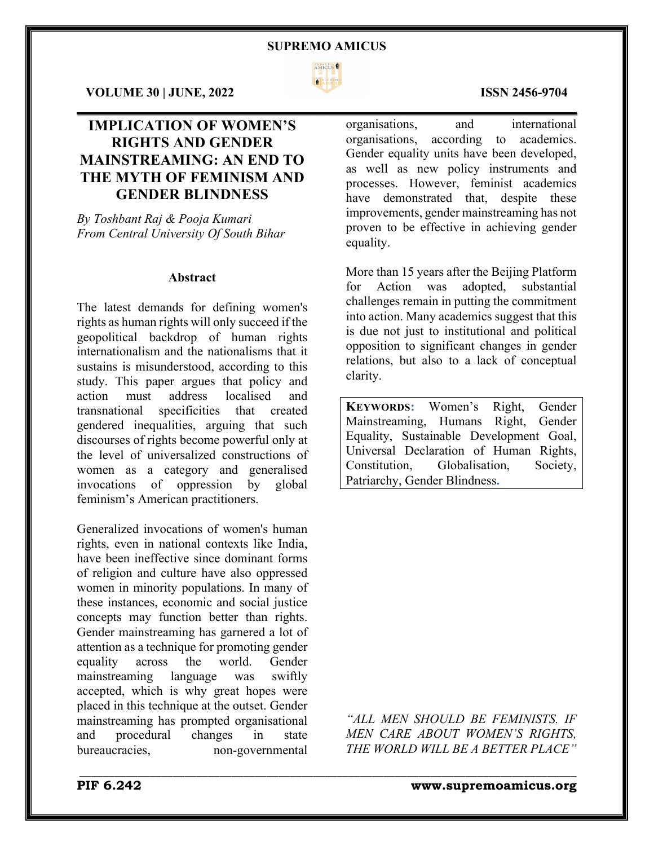

\_\_\_\_\_\_\_\_\_\_\_\_\_\_\_\_\_\_\_\_\_\_\_\_\_\_\_\_\_\_\_\_\_\_\_\_\_\_\_\_\_\_\_\_\_\_\_\_\_\_\_\_\_\_\_\_\_\_\_\_\_\_\_\_\_\_\_\_\_\_\_\_\_\_\_\_\_\_\_\_\_\_\_\_\_

**VOLUME 30 | JUNE, 2022 ISSN 2456-9704**

# **IMPLICATION OF WOMEN'S RIGHTS AND GENDER MAINSTREAMING: AN END TO THE MYTH OF FEMINISM AND GENDER BLINDNESS**

*By Toshbant Raj & Pooja Kumari From Central University Of South Bihar*

# **Abstract**

The latest demands for defining women's rights as human rights will only succeed if the geopolitical backdrop of human rights internationalism and the nationalisms that it sustains is misunderstood, according to this study. This paper argues that policy and action must address localised and transnational specificities that created gendered inequalities, arguing that such discourses of rights become powerful only at the level of universalized constructions of women as a category and generalised invocations of oppression by global feminism's American practitioners.

Generalized invocations of women's human rights, even in national contexts like India, have been ineffective since dominant forms of religion and culture have also oppressed women in minority populations. In many of these instances, economic and social justice concepts may function better than rights. Gender mainstreaming has garnered a lot of attention as a technique for promoting gender equality across the world. Gender mainstreaming language was swiftly accepted, which is why great hopes were placed in this technique at the outset. Gender mainstreaming has prompted organisational and procedural changes in state bureaucracies, non-governmental

organisations, and international organisations, according to academics. Gender equality units have been developed, as well as new policy instruments and processes. However, feminist academics have demonstrated that, despite these improvements, gender mainstreaming has not proven to be effective in achieving gender equality.

More than 15 years after the Beijing Platform for Action was adopted, substantial challenges remain in putting the commitment into action. Many academics suggest that this is due not just to institutional and political opposition to significant changes in gender relations, but also to a lack of conceptual clarity.

**KEYWORDS:** Women's Right, Gender Mainstreaming, Humans Right, Gender Equality, Sustainable Development Goal, Universal Declaration of Human Rights, Constitution, Globalisation, Society, Patriarchy, Gender Blindness**.**

*"ALL MEN SHOULD BE FEMINISTS. IF MEN CARE ABOUT WOMEN'S RIGHTS, THE WORLD WILL BE A BETTER PLACE"*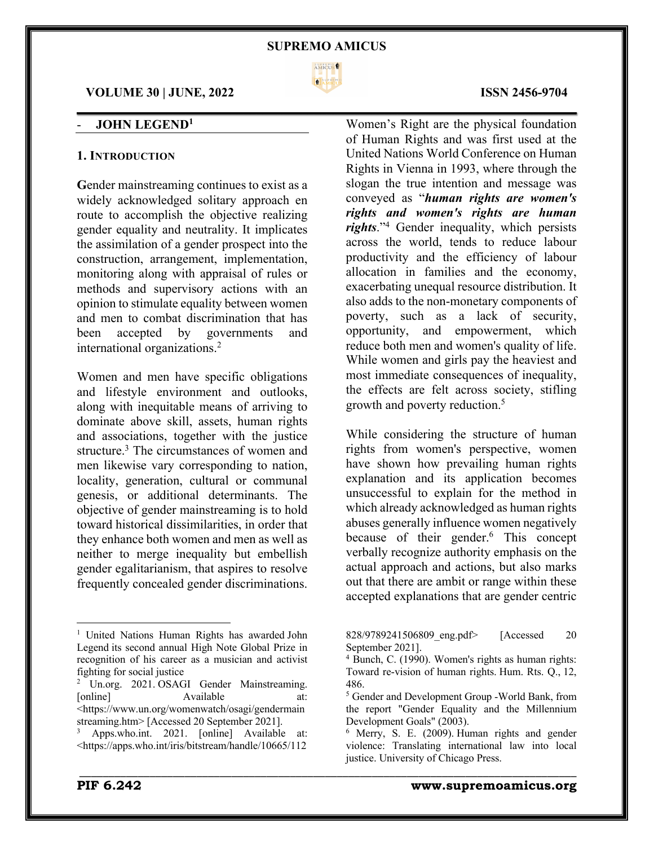

\_\_\_\_\_\_\_\_\_\_\_\_\_\_\_\_\_\_\_\_\_\_\_\_\_\_\_\_\_\_\_\_\_\_\_\_\_\_\_\_\_\_\_\_\_\_\_\_\_\_\_\_\_\_\_\_\_\_\_\_\_\_\_\_\_\_\_\_\_\_\_\_\_\_\_\_\_\_\_\_\_\_\_\_\_

# **VOLUME 30 | JUNE, 2022 ISSN 2456-9704**

# - **JOHN LEGEND1**

# **1. INTRODUCTION**

**G**ender mainstreaming continues to exist as a widely acknowledged solitary approach en route to accomplish the objective realizing gender equality and neutrality. It implicates the assimilation of a gender prospect into the construction, arrangement, implementation, monitoring along with appraisal of rules or methods and supervisory actions with an opinion to stimulate equality between women and men to combat discrimination that has been accepted by governments and international organizations.2

Women and men have specific obligations and lifestyle environment and outlooks, along with inequitable means of arriving to dominate above skill, assets, human rights and associations, together with the justice structure.<sup>3</sup> The circumstances of women and men likewise vary corresponding to nation, locality, generation, cultural or communal genesis, or additional determinants. The objective of gender mainstreaming is to hold toward historical dissimilarities, in order that they enhance both women and men as well as neither to merge inequality but embellish gender egalitarianism, that aspires to resolve frequently concealed gender discriminations.

Women's Right are the physical foundation of Human Rights and was first used at the United Nations World Conference on Human Rights in Vienna in 1993, where through the slogan the true intention and message was conveyed as "*human rights are women's rights and women's rights are human rights*."4 Gender inequality, which persists across the world, tends to reduce labour productivity and the efficiency of labour allocation in families and the economy, exacerbating unequal resource distribution. It also adds to the non-monetary components of poverty, such as a lack of security, opportunity, and empowerment, which reduce both men and women's quality of life. While women and girls pay the heaviest and most immediate consequences of inequality, the effects are felt across society, stifling growth and poverty reduction.5

While considering the structure of human rights from women's perspective, women have shown how prevailing human rights explanation and its application becomes unsuccessful to explain for the method in which already acknowledged as human rights abuses generally influence women negatively because of their gender.<sup>6</sup> This concept verbally recognize authority emphasis on the actual approach and actions, but also marks out that there are ambit or range within these accepted explanations that are gender centric

828/9789241506809 eng.pdf> [Accessed 20 September 2021].

<sup>&</sup>lt;sup>1</sup> United Nations Human Rights has awarded John Legend its second annual High Note Global Prize in recognition of his career as a musician and activist fighting for social justice

<sup>2</sup> Un.org. 2021. OSAGI Gender Mainstreaming. [online] Available at: <https://www.un.org/womenwatch/osagi/gendermain streaming.htm> [Accessed 20 September 2021].

Apps.who.int. 2021. [online] Available at: <https://apps.who.int/iris/bitstream/handle/10665/112

 $4$  Bunch, C. (1990). Women's rights as human rights: Toward re-vision of human rights. Hum. Rts. Q., 12, 486.

<sup>5</sup> Gender and Development Group -World Bank, from the report "Gender Equality and the Millennium Development Goals" (2003).

<sup>6</sup> Merry, S. E. (2009). Human rights and gender violence: Translating international law into local justice. University of Chicago Press.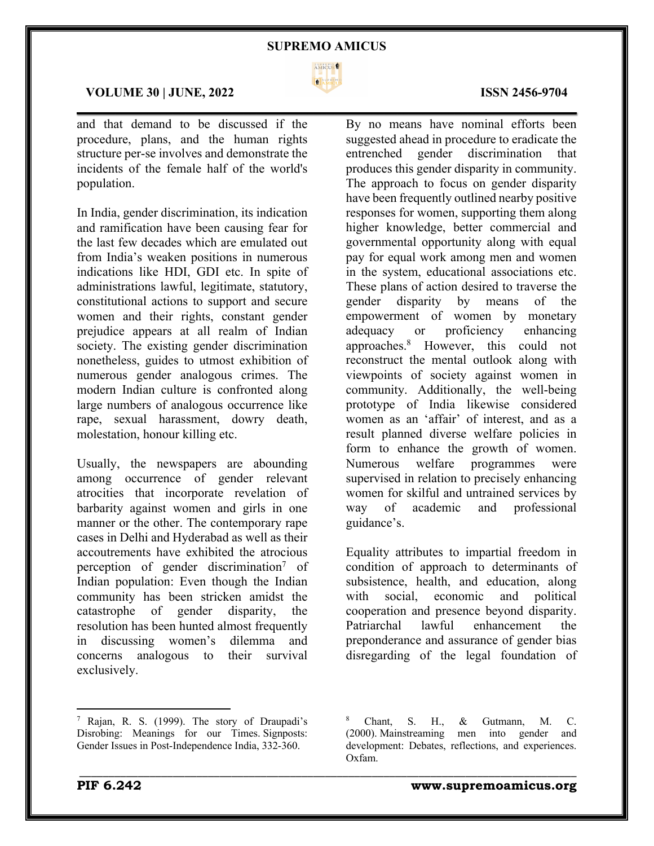

\_\_\_\_\_\_\_\_\_\_\_\_\_\_\_\_\_\_\_\_\_\_\_\_\_\_\_\_\_\_\_\_\_\_\_\_\_\_\_\_\_\_\_\_\_\_\_\_\_\_\_\_\_\_\_\_\_\_\_\_\_\_\_\_\_\_\_\_\_\_\_\_\_\_\_\_\_\_\_\_\_\_\_\_\_

# **VOLUME 30 | JUNE, 2022 ISSN 2456-9704**

and that demand to be discussed if the procedure, plans, and the human rights structure per-se involves and demonstrate the incidents of the female half of the world's population.

In India, gender discrimination, its indication and ramification have been causing fear for the last few decades which are emulated out from India's weaken positions in numerous indications like HDI, GDI etc. In spite of administrations lawful, legitimate, statutory, constitutional actions to support and secure women and their rights, constant gender prejudice appears at all realm of Indian society. The existing gender discrimination nonetheless, guides to utmost exhibition of numerous gender analogous crimes. The modern Indian culture is confronted along large numbers of analogous occurrence like rape, sexual harassment, dowry death, molestation, honour killing etc.

Usually, the newspapers are abounding among occurrence of gender relevant atrocities that incorporate revelation of barbarity against women and girls in one manner or the other. The contemporary rape cases in Delhi and Hyderabad as well as their accoutrements have exhibited the atrocious perception of gender discrimination<sup>7</sup> of Indian population: Even though the Indian community has been stricken amidst the catastrophe of gender disparity, the resolution has been hunted almost frequently in discussing women's dilemma and concerns analogous to their survival exclusively.

By no means have nominal efforts been suggested ahead in procedure to eradicate the entrenched gender discrimination that produces this gender disparity in community. The approach to focus on gender disparity have been frequently outlined nearby positive responses for women, supporting them along higher knowledge, better commercial and governmental opportunity along with equal pay for equal work among men and women in the system, educational associations etc. These plans of action desired to traverse the gender disparity by means of the empowerment of women by monetary adequacy or proficiency enhancing approaches.8 However, this could not reconstruct the mental outlook along with viewpoints of society against women in community. Additionally, the well-being prototype of India likewise considered women as an 'affair' of interest, and as a result planned diverse welfare policies in form to enhance the growth of women. Numerous welfare programmes were supervised in relation to precisely enhancing women for skilful and untrained services by way of academic and professional guidance's.

Equality attributes to impartial freedom in condition of approach to determinants of subsistence, health, and education, along with social, economic and political cooperation and presence beyond disparity. Patriarchal lawful enhancement the preponderance and assurance of gender bias disregarding of the legal foundation of

<sup>7</sup> Rajan, R. S. (1999). The story of Draupadi's Disrobing: Meanings for our Times. Signposts: Gender Issues in Post-Independence India, 332-360.

<sup>8</sup> Chant, S. H., & Gutmann, M. C. (2000). Mainstreaming men into gender and development: Debates, reflections, and experiences. Oxfam.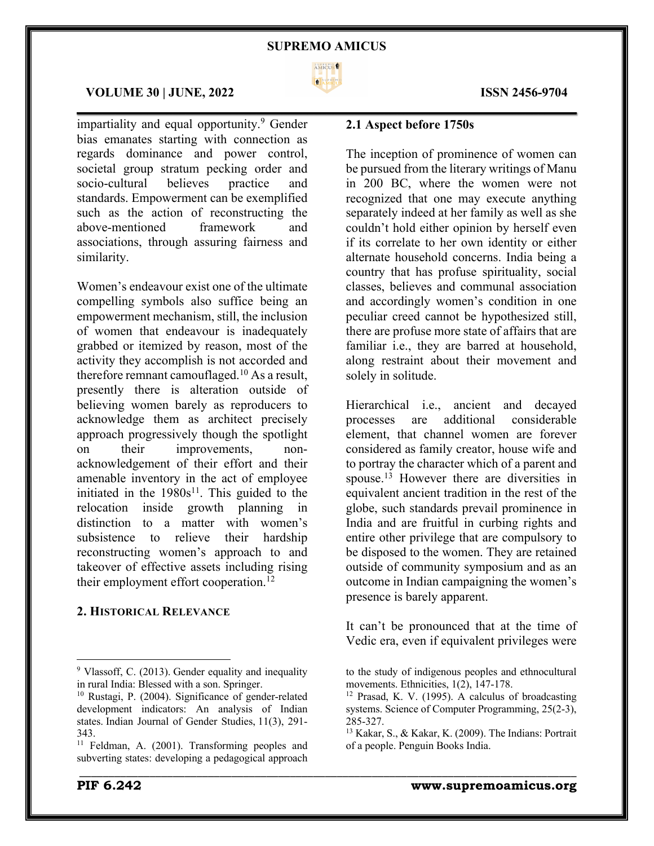

# **VOLUME 30 | JUNE, 2022 ISSN 2456-9704**

impartiality and equal opportunity.<sup>9</sup> Gender bias emanates starting with connection as regards dominance and power control, societal group stratum pecking order and socio-cultural believes practice and standards. Empowerment can be exemplified such as the action of reconstructing the above-mentioned framework and associations, through assuring fairness and similarity.

Women's endeavour exist one of the ultimate compelling symbols also suffice being an empowerment mechanism, still, the inclusion of women that endeavour is inadequately grabbed or itemized by reason, most of the activity they accomplish is not accorded and therefore remnant camouflaged.<sup>10</sup> As a result, presently there is alteration outside of believing women barely as reproducers to acknowledge them as architect precisely approach progressively though the spotlight on their improvements, nonacknowledgement of their effort and their amenable inventory in the act of employee initiated in the  $1980s^{11}$ . This guided to the relocation inside growth planning in distinction to a matter with women's subsistence to relieve their hardship reconstructing women's approach to and takeover of effective assets including rising their employment effort cooperation.<sup>12</sup>

# **2. HISTORICAL RELEVANCE**

# **2.1 Aspect before 1750s**

The inception of prominence of women can be pursued from the literary writings of Manu in 200 BC, where the women were not recognized that one may execute anything separately indeed at her family as well as she couldn't hold either opinion by herself even if its correlate to her own identity or either alternate household concerns. India being a country that has profuse spirituality, social classes, believes and communal association and accordingly women's condition in one peculiar creed cannot be hypothesized still, there are profuse more state of affairs that are familiar i.e., they are barred at household, along restraint about their movement and solely in solitude.

Hierarchical i.e., ancient and decayed processes are additional considerable element, that channel women are forever considered as family creator, house wife and to portray the character which of a parent and spouse.<sup>13</sup> However there are diversities in equivalent ancient tradition in the rest of the globe, such standards prevail prominence in India and are fruitful in curbing rights and entire other privilege that are compulsory to be disposed to the women. They are retained outside of community symposium and as an outcome in Indian campaigning the women's presence is barely apparent.

It can't be pronounced that at the time of Vedic era, even if equivalent privileges were

<sup>9</sup> Vlassoff, C. (2013). Gender equality and inequality in rural India: Blessed with a son. Springer.

<sup>10</sup> Rustagi, P. (2004). Significance of gender-related development indicators: An analysis of Indian states. Indian Journal of Gender Studies, 11(3), 291- 343.

<sup>&</sup>lt;sup>11</sup> Feldman, A. (2001). Transforming peoples and subverting states: developing a pedagogical approach

to the study of indigenous peoples and ethnocultural movements. Ethnicities, 1(2), 147-178.

 $12$  Prasad, K. V. (1995). A calculus of broadcasting systems. Science of Computer Programming, 25(2-3), 285-327.

<sup>13</sup> Kakar, S., & Kakar, K. (2009). The Indians: Portrait of a people. Penguin Books India.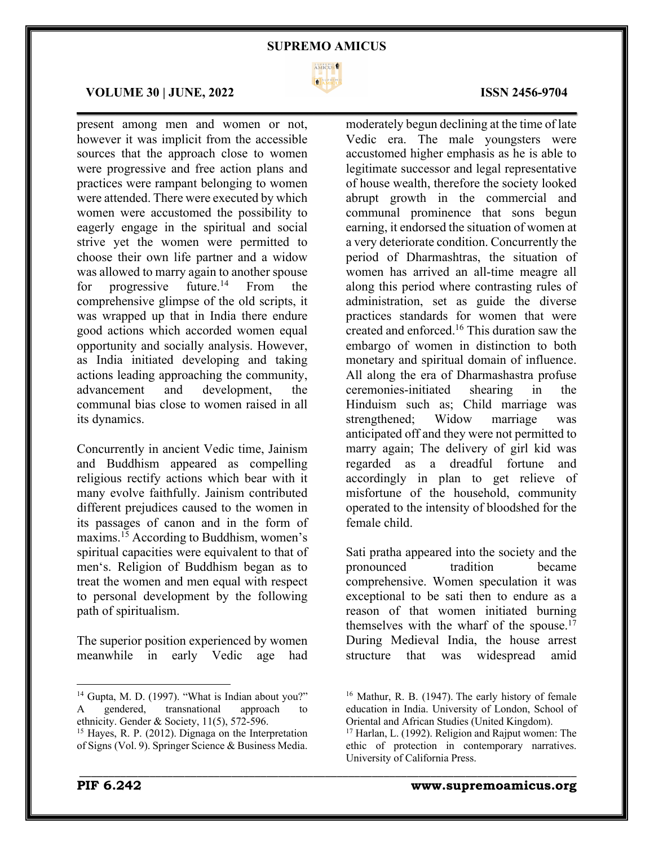

 $\mathcal{L}_\mathcal{L} = \mathcal{L}_\mathcal{L} = \mathcal{L}_\mathcal{L} = \mathcal{L}_\mathcal{L} = \mathcal{L}_\mathcal{L} = \mathcal{L}_\mathcal{L} = \mathcal{L}_\mathcal{L} = \mathcal{L}_\mathcal{L} = \mathcal{L}_\mathcal{L} = \mathcal{L}_\mathcal{L} = \mathcal{L}_\mathcal{L} = \mathcal{L}_\mathcal{L} = \mathcal{L}_\mathcal{L} = \mathcal{L}_\mathcal{L} = \mathcal{L}_\mathcal{L} = \mathcal{L}_\mathcal{L} = \mathcal{L}_\mathcal{L}$ 

\_\_\_\_\_\_\_\_\_\_\_\_\_\_\_\_\_\_\_\_\_\_\_\_\_\_\_\_\_\_\_\_\_\_\_\_\_\_\_\_\_\_\_\_\_\_\_\_\_\_\_\_\_\_\_\_\_\_\_\_\_\_\_\_\_\_\_\_\_\_\_\_\_\_\_\_\_\_\_\_\_\_\_\_\_

#### **VOLUME 30 | JUNE, 2022 ISSN 2456-9704**

present among men and women or not, however it was implicit from the accessible sources that the approach close to women were progressive and free action plans and practices were rampant belonging to women were attended. There were executed by which women were accustomed the possibility to eagerly engage in the spiritual and social strive yet the women were permitted to choose their own life partner and a widow was allowed to marry again to another spouse for progressive future.<sup>14</sup> From the comprehensive glimpse of the old scripts, it was wrapped up that in India there endure good actions which accorded women equal opportunity and socially analysis. However, as India initiated developing and taking actions leading approaching the community, advancement and development, the communal bias close to women raised in all its dynamics.

Concurrently in ancient Vedic time, Jainism and Buddhism appeared as compelling religious rectify actions which bear with it many evolve faithfully. Jainism contributed different prejudices caused to the women in its passages of canon and in the form of maxims.15 According to Buddhism, women's spiritual capacities were equivalent to that of men's. Religion of Buddhism began as to treat the women and men equal with respect to personal development by the following path of spiritualism.

The superior position experienced by women meanwhile in early Vedic age had

moderately begun declining at the time of late Vedic era. The male youngsters were accustomed higher emphasis as he is able to legitimate successor and legal representative of house wealth, therefore the society looked abrupt growth in the commercial and communal prominence that sons begun earning, it endorsed the situation of women at a very deteriorate condition. Concurrently the period of Dharmashtras, the situation of women has arrived an all-time meagre all along this period where contrasting rules of administration, set as guide the diverse practices standards for women that were created and enforced.16 This duration saw the embargo of women in distinction to both monetary and spiritual domain of influence. All along the era of Dharmashastra profuse ceremonies-initiated shearing in the Hinduism such as; Child marriage was strengthened; Widow marriage was anticipated off and they were not permitted to marry again; The delivery of girl kid was regarded as a dreadful fortune and accordingly in plan to get relieve of misfortune of the household, community operated to the intensity of bloodshed for the female child.

Sati pratha appeared into the society and the pronounced tradition became comprehensive. Women speculation it was exceptional to be sati then to endure as a reason of that women initiated burning themselves with the wharf of the spouse.<sup>17</sup> During Medieval India, the house arrest structure that was widespread amid

<sup>&</sup>lt;sup>14</sup> Gupta, M. D. (1997). "What is Indian about you?" A gendered, transnational approach to ethnicity. Gender & Society, 11(5), 572-596.

<sup>15</sup> Hayes, R. P. (2012). Dignaga on the Interpretation of Signs (Vol. 9). Springer Science & Business Media.

<sup>16</sup> Mathur, R. B. (1947). The early history of female education in India. University of London, School of Oriental and African Studies (United Kingdom).

<sup>&</sup>lt;sup>17</sup> Harlan, L. (1992). Religion and Rajput women: The ethic of protection in contemporary narratives. University of California Press.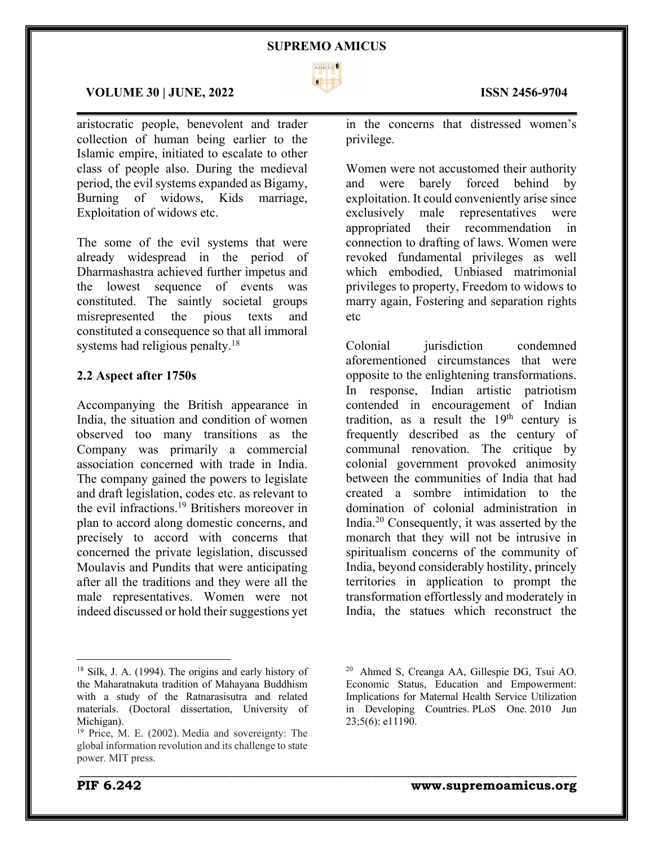

\_\_\_\_\_\_\_\_\_\_\_\_\_\_\_\_\_\_\_\_\_\_\_\_\_\_\_\_\_\_\_\_\_\_\_\_\_\_\_\_\_\_\_\_\_\_\_\_\_\_\_\_\_\_\_\_\_\_\_\_\_\_\_\_\_\_\_\_\_\_\_\_\_\_\_\_\_\_\_\_\_\_\_\_\_

### **VOLUME 30 | JUNE, 2022 ISSN 2456-9704**

aristocratic people, benevolent and trader collection of human being earlier to the Islamic empire, initiated to escalate to other class of people also. During the medieval period, the evil systems expanded as Bigamy, Burning of widows, Kids marriage, Exploitation of widows etc.

The some of the evil systems that were already widespread in the period of Dharmashastra achieved further impetus and the lowest sequence of events was constituted. The saintly societal groups misrepresented the pious texts and constituted a consequence so that all immoral systems had religious penalty.<sup>18</sup>

# **2.2 Aspect after 1750s**

Accompanying the British appearance in India, the situation and condition of women observed too many transitions as the Company was primarily a commercial association concerned with trade in India. The company gained the powers to legislate and draft legislation, codes etc. as relevant to the evil infractions.19 Britishers moreover in plan to accord along domestic concerns, and precisely to accord with concerns that concerned the private legislation, discussed Moulavis and Pundits that were anticipating after all the traditions and they were all the male representatives. Women were not indeed discussed or hold their suggestions yet

in the concerns that distressed women's privilege.

Women were not accustomed their authority and were barely forced behind by exploitation. It could conveniently arise since exclusively male representatives were appropriated their recommendation in connection to drafting of laws. Women were revoked fundamental privileges as well which embodied, Unbiased matrimonial privileges to property, Freedom to widows to marry again, Fostering and separation rights etc

Colonial iurisdiction condemned aforementioned circumstances that were opposite to the enlightening transformations. In response, Indian artistic patriotism contended in encouragement of Indian tradition, as a result the  $19<sup>th</sup>$  century is frequently described as the century of communal renovation. The critique by colonial government provoked animosity between the communities of India that had created a sombre intimidation to the domination of colonial administration in India.20 Consequently, it was asserted by the monarch that they will not be intrusive in spiritualism concerns of the community of India, beyond considerably hostility, princely territories in application to prompt the transformation effortlessly and moderately in India, the statues which reconstruct the

<sup>18</sup> Silk, J. A. (1994). The origins and early history of the Maharatnakuta tradition of Mahayana Buddhism with a study of the Ratnarasisutra and related materials. (Doctoral dissertation, University of Michigan).

<sup>19</sup> Price, M. E. (2002). Media and sovereignty: The global information revolution and its challenge to state power. MIT press.

<sup>20</sup> Ahmed S, Creanga AA, Gillespie DG, Tsui AO. Economic Status, Education and Empowerment: Implications for Maternal Health Service Utilization in Developing Countries. PLoS One. 2010 Jun 23;5(6): e11190.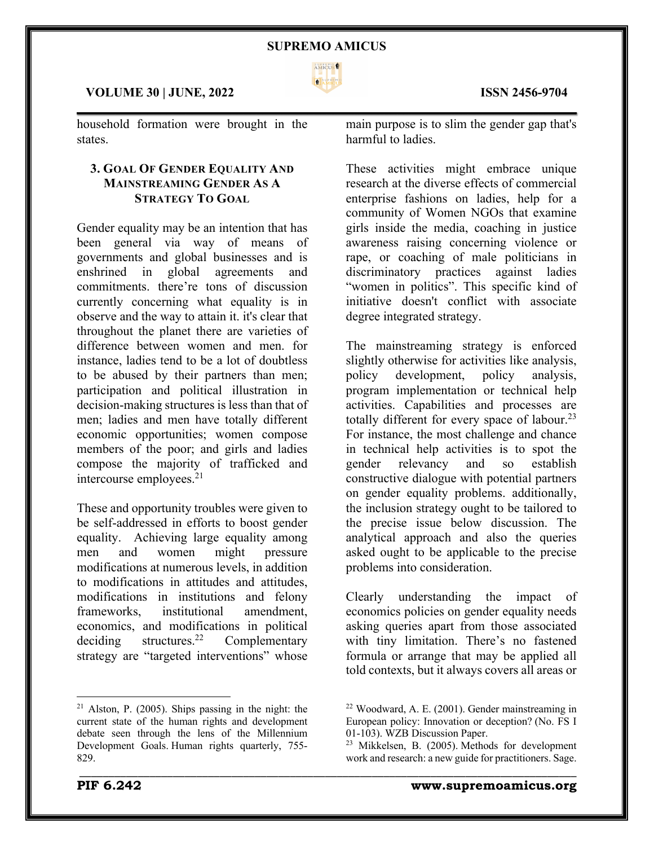

\_\_\_\_\_\_\_\_\_\_\_\_\_\_\_\_\_\_\_\_\_\_\_\_\_\_\_\_\_\_\_\_\_\_\_\_\_\_\_\_\_\_\_\_\_\_\_\_\_\_\_\_\_\_\_\_\_\_\_\_\_\_\_\_\_\_\_\_\_\_\_\_\_\_\_\_\_\_\_\_\_\_\_\_\_

### **VOLUME 30 | JUNE, 2022 ISSN 2456-9704**

household formation were brought in the states.

# **3. GOAL OF GENDER EQUALITY AND MAINSTREAMING GENDER AS A STRATEGY TO GOAL**

Gender equality may be an intention that has been general via way of means of governments and global businesses and is enshrined in global agreements and commitments. there're tons of discussion currently concerning what equality is in observe and the way to attain it. it's clear that throughout the planet there are varieties of difference between women and men. for instance, ladies tend to be a lot of doubtless to be abused by their partners than men; participation and political illustration in decision-making structures is less than that of men; ladies and men have totally different economic opportunities; women compose members of the poor; and girls and ladies compose the majority of trafficked and intercourse employees.21

These and opportunity troubles were given to be self-addressed in efforts to boost gender equality. Achieving large equality among men and women might pressure modifications at numerous levels, in addition to modifications in attitudes and attitudes, modifications in institutions and felony frameworks, institutional amendment, economics, and modifications in political deciding structures.<sup>22</sup> Complementary strategy are "targeted interventions" whose

main purpose is to slim the gender gap that's harmful to ladies.

These activities might embrace unique research at the diverse effects of commercial enterprise fashions on ladies, help for a community of Women NGOs that examine girls inside the media, coaching in justice awareness raising concerning violence or rape, or coaching of male politicians in discriminatory practices against ladies "women in politics". This specific kind of initiative doesn't conflict with associate degree integrated strategy.

The mainstreaming strategy is enforced slightly otherwise for activities like analysis, policy development, policy analysis, program implementation or technical help activities. Capabilities and processes are totally different for every space of labour.<sup>23</sup> For instance, the most challenge and chance in technical help activities is to spot the gender relevancy and so establish constructive dialogue with potential partners on gender equality problems. additionally, the inclusion strategy ought to be tailored to the precise issue below discussion. The analytical approach and also the queries asked ought to be applicable to the precise problems into consideration.

Clearly understanding the impact of economics policies on gender equality needs asking queries apart from those associated with tiny limitation. There's no fastened formula or arrange that may be applied all told contexts, but it always covers all areas or



 $21$  Alston, P. (2005). Ships passing in the night: the current state of the human rights and development debate seen through the lens of the Millennium Development Goals. Human rights quarterly, 755- 829.

<sup>22</sup> Woodward, A. E. (2001). Gender mainstreaming in European policy: Innovation or deception? (No. FS I 01-103). WZB Discussion Paper.

<sup>23</sup> Mikkelsen, B. (2005). Methods for development work and research: a new guide for practitioners. Sage.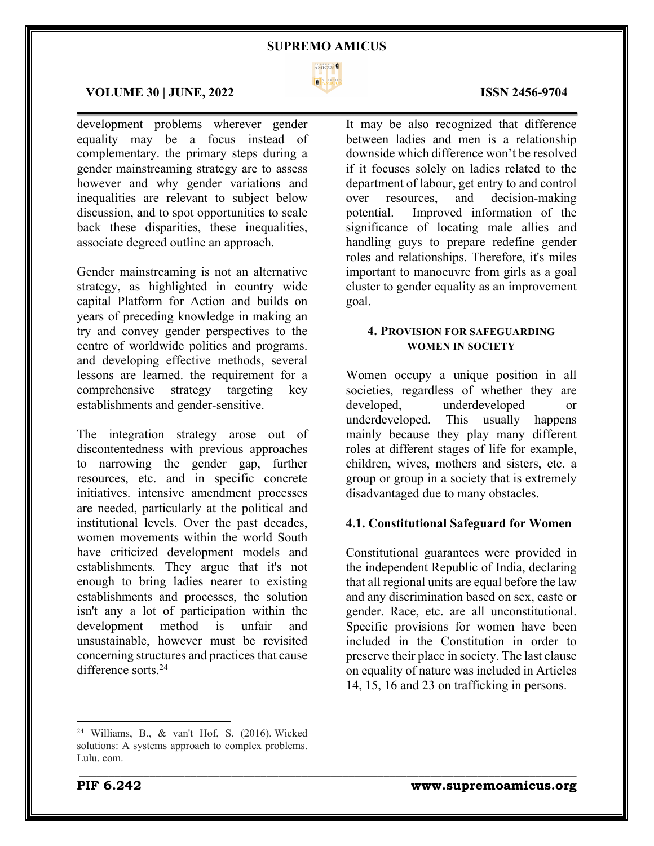

 $\mathcal{L}_\mathcal{L} = \mathcal{L}_\mathcal{L} = \mathcal{L}_\mathcal{L} = \mathcal{L}_\mathcal{L} = \mathcal{L}_\mathcal{L} = \mathcal{L}_\mathcal{L} = \mathcal{L}_\mathcal{L} = \mathcal{L}_\mathcal{L} = \mathcal{L}_\mathcal{L} = \mathcal{L}_\mathcal{L} = \mathcal{L}_\mathcal{L} = \mathcal{L}_\mathcal{L} = \mathcal{L}_\mathcal{L} = \mathcal{L}_\mathcal{L} = \mathcal{L}_\mathcal{L} = \mathcal{L}_\mathcal{L} = \mathcal{L}_\mathcal{L}$ 

\_\_\_\_\_\_\_\_\_\_\_\_\_\_\_\_\_\_\_\_\_\_\_\_\_\_\_\_\_\_\_\_\_\_\_\_\_\_\_\_\_\_\_\_\_\_\_\_\_\_\_\_\_\_\_\_\_\_\_\_\_\_\_\_\_\_\_\_\_\_\_\_\_\_\_\_\_\_\_\_\_\_\_\_\_

### **VOLUME 30 | JUNE, 2022 ISSN 2456-9704**

development problems wherever gender equality may be a focus instead of complementary. the primary steps during a gender mainstreaming strategy are to assess however and why gender variations and inequalities are relevant to subject below discussion, and to spot opportunities to scale back these disparities, these inequalities, associate degreed outline an approach.

Gender mainstreaming is not an alternative strategy, as highlighted in country wide capital Platform for Action and builds on years of preceding knowledge in making an try and convey gender perspectives to the centre of worldwide politics and programs. and developing effective methods, several lessons are learned. the requirement for a comprehensive strategy targeting key establishments and gender-sensitive.

The integration strategy arose out of discontentedness with previous approaches to narrowing the gender gap, further resources, etc. and in specific concrete initiatives. intensive amendment processes are needed, particularly at the political and institutional levels. Over the past decades, women movements within the world South have criticized development models and establishments. They argue that it's not enough to bring ladies nearer to existing establishments and processes, the solution isn't any a lot of participation within the development method is unfair and unsustainable, however must be revisited concerning structures and practices that cause difference sorts.24

It may be also recognized that difference between ladies and men is a relationship downside which difference won't be resolved if it focuses solely on ladies related to the department of labour, get entry to and control over resources, and decision-making potential. Improved information of the significance of locating male allies and handling guys to prepare redefine gender roles and relationships. Therefore, it's miles important to manoeuvre from girls as a goal cluster to gender equality as an improvement goal.

# **4. PROVISION FOR SAFEGUARDING WOMEN IN SOCIETY**

Women occupy a unique position in all societies, regardless of whether they are developed, underdeveloped or underdeveloped. This usually happens mainly because they play many different roles at different stages of life for example, children, wives, mothers and sisters, etc. a group or group in a society that is extremely disadvantaged due to many obstacles.

# **4.1. Constitutional Safeguard for Women**

Constitutional guarantees were provided in the independent Republic of India, declaring that all regional units are equal before the law and any discrimination based on sex, caste or gender. Race, etc. are all unconstitutional. Specific provisions for women have been included in the Constitution in order to preserve their place in society. The last clause on equality of nature was included in Articles 14, 15, 16 and 23 on trafficking in persons.

<sup>24</sup> Williams, B., & van't Hof, S. (2016). Wicked solutions: A systems approach to complex problems. Lulu. com.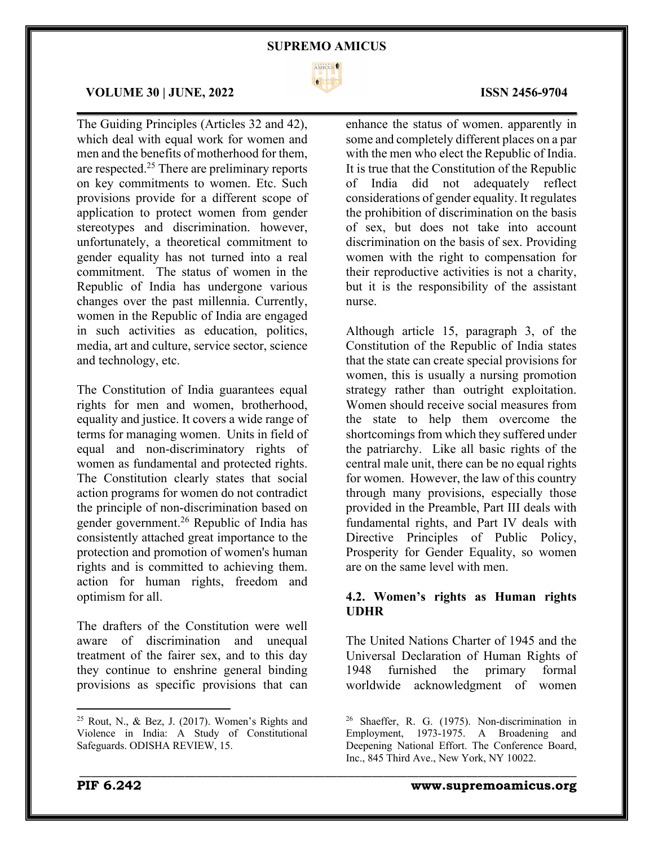

# **VOLUME 30 | JUNE, 2022 ISSN 2456-9704**

The Guiding Principles (Articles 32 and 42), which deal with equal work for women and men and the benefits of motherhood for them, are respected.25 There are preliminary reports on key commitments to women. Etc. Such provisions provide for a different scope of application to protect women from gender stereotypes and discrimination. however, unfortunately, a theoretical commitment to gender equality has not turned into a real commitment. The status of women in the Republic of India has undergone various changes over the past millennia. Currently, women in the Republic of India are engaged in such activities as education, politics, media, art and culture, service sector, science and technology, etc.

The Constitution of India guarantees equal rights for men and women, brotherhood, equality and justice. It covers a wide range of terms for managing women. Units in field of equal and non-discriminatory rights of women as fundamental and protected rights. The Constitution clearly states that social action programs for women do not contradict the principle of non-discrimination based on gender government.26 Republic of India has consistently attached great importance to the protection and promotion of women's human rights and is committed to achieving them. action for human rights, freedom and optimism for all.

The drafters of the Constitution were well aware of discrimination and unequal treatment of the fairer sex, and to this day they continue to enshrine general binding provisions as specific provisions that can enhance the status of women. apparently in some and completely different places on a par with the men who elect the Republic of India. It is true that the Constitution of the Republic of India did not adequately reflect considerations of gender equality. It regulates the prohibition of discrimination on the basis of sex, but does not take into account discrimination on the basis of sex. Providing women with the right to compensation for their reproductive activities is not a charity, but it is the responsibility of the assistant nurse.

Although article 15, paragraph 3, of the Constitution of the Republic of India states that the state can create special provisions for women, this is usually a nursing promotion strategy rather than outright exploitation. Women should receive social measures from the state to help them overcome the shortcomings from which they suffered under the patriarchy. Like all basic rights of the central male unit, there can be no equal rights for women. However, the law of this country through many provisions, especially those provided in the Preamble, Part III deals with fundamental rights, and Part IV deals with Directive Principles of Public Policy, Prosperity for Gender Equality, so women are on the same level with men.

# **4.2. Women's rights as Human rights UDHR**

The United Nations Charter of 1945 and the Universal Declaration of Human Rights of 1948 furnished the primary formal worldwide acknowledgment of women

\_\_\_\_\_\_\_\_\_\_\_\_\_\_\_\_\_\_\_\_\_\_\_\_\_\_\_\_\_\_\_\_\_\_\_\_\_\_\_\_\_\_\_\_\_\_\_\_\_\_\_\_\_\_\_\_\_\_\_\_\_\_\_\_\_\_\_\_\_\_\_\_\_\_\_\_\_\_\_\_\_\_\_\_\_

# **PIF 6.242 www.supremoamicus.org**

 $25$  Rout, N., & Bez, J. (2017). Women's Rights and Violence in India: A Study of Constitutional Safeguards. ODISHA REVIEW, 15.

<sup>26</sup> Shaeffer, R. G. (1975). Non-discrimination in Employment, 1973-1975. A Broadening and Deepening National Effort. The Conference Board, Inc., 845 Third Ave., New York, NY 10022.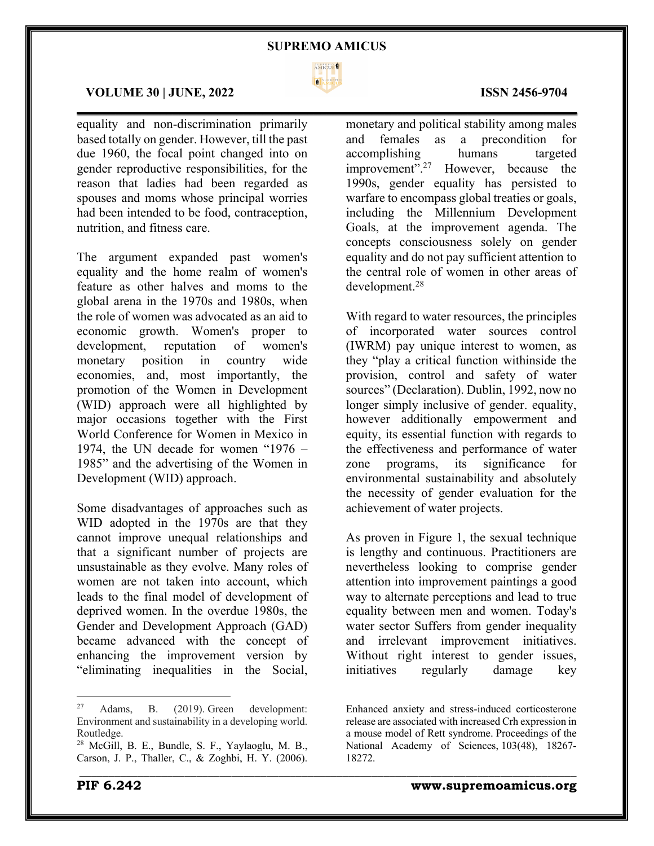

\_\_\_\_\_\_\_\_\_\_\_\_\_\_\_\_\_\_\_\_\_\_\_\_\_\_\_\_\_\_\_\_\_\_\_\_\_\_\_\_\_\_\_\_\_\_\_\_\_\_\_\_\_\_\_\_\_\_\_\_\_\_\_\_\_\_\_\_\_\_\_\_\_\_\_\_\_\_\_\_\_\_\_\_\_

# **VOLUME 30 | JUNE, 2022 ISSN 2456-9704**

equality and non-discrimination primarily based totally on gender. However, till the past due 1960, the focal point changed into on gender reproductive responsibilities, for the reason that ladies had been regarded as spouses and moms whose principal worries had been intended to be food, contraception, nutrition, and fitness care.

The argument expanded past women's equality and the home realm of women's feature as other halves and moms to the global arena in the 1970s and 1980s, when the role of women was advocated as an aid to economic growth. Women's proper to development, reputation of women's monetary position in country wide economies, and, most importantly, the promotion of the Women in Development (WID) approach were all highlighted by major occasions together with the First World Conference for Women in Mexico in 1974, the UN decade for women "1976 – 1985" and the advertising of the Women in Development (WID) approach.

Some disadvantages of approaches such as WID adopted in the 1970s are that they cannot improve unequal relationships and that a significant number of projects are unsustainable as they evolve. Many roles of women are not taken into account, which leads to the final model of development of deprived women. In the overdue 1980s, the Gender and Development Approach (GAD) became advanced with the concept of enhancing the improvement version by "eliminating inequalities in the Social,

monetary and political stability among males and females as a precondition for accomplishing humans targeted improvement".27 However, because the 1990s, gender equality has persisted to warfare to encompass global treaties or goals, including the Millennium Development Goals, at the improvement agenda. The concepts consciousness solely on gender equality and do not pay sufficient attention to the central role of women in other areas of development.28

With regard to water resources, the principles of incorporated water sources control (IWRM) pay unique interest to women, as they "play a critical function withinside the provision, control and safety of water sources" (Declaration). Dublin, 1992, now no longer simply inclusive of gender. equality, however additionally empowerment and equity, its essential function with regards to the effectiveness and performance of water zone programs, its significance for environmental sustainability and absolutely the necessity of gender evaluation for the achievement of water projects.

As proven in Figure 1, the sexual technique is lengthy and continuous. Practitioners are nevertheless looking to comprise gender attention into improvement paintings a good way to alternate perceptions and lead to true equality between men and women. Today's water sector Suffers from gender inequality and irrelevant improvement initiatives. Without right interest to gender issues, initiatives regularly damage key

 $27$  Adams, B.  $(2019)$ . Green development: Environment and sustainability in a developing world. Routledge.

<sup>28</sup> McGill, B. E., Bundle, S. F., Yaylaoglu, M. B., Carson, J. P., Thaller, C., & Zoghbi, H. Y. (2006).

Enhanced anxiety and stress-induced corticosterone release are associated with increased Crh expression in a mouse model of Rett syndrome. Proceedings of the National Academy of Sciences, 103(48), 18267- 18272.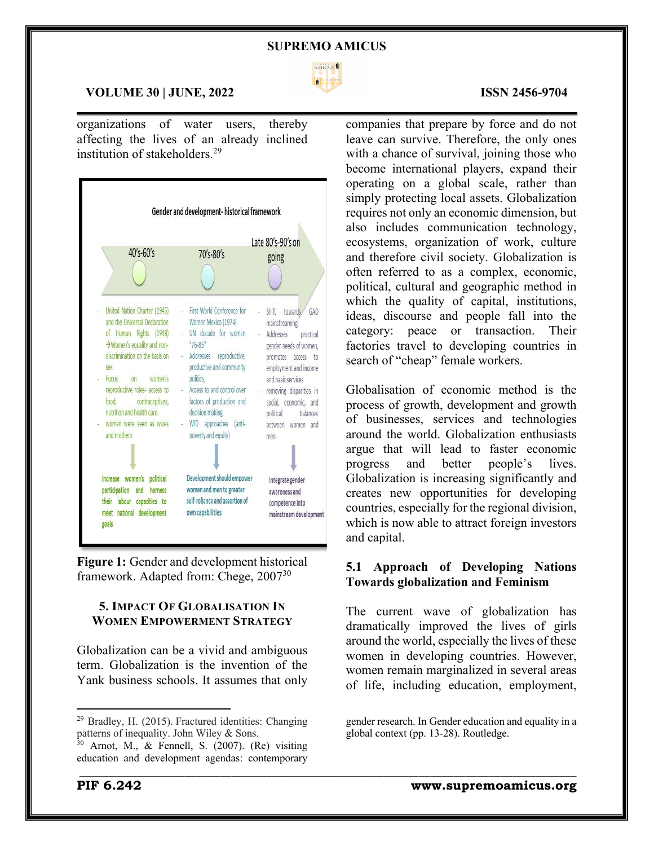

 $\mathcal{L}_\mathcal{L} = \mathcal{L}_\mathcal{L} = \mathcal{L}_\mathcal{L} = \mathcal{L}_\mathcal{L} = \mathcal{L}_\mathcal{L} = \mathcal{L}_\mathcal{L} = \mathcal{L}_\mathcal{L} = \mathcal{L}_\mathcal{L} = \mathcal{L}_\mathcal{L} = \mathcal{L}_\mathcal{L} = \mathcal{L}_\mathcal{L} = \mathcal{L}_\mathcal{L} = \mathcal{L}_\mathcal{L} = \mathcal{L}_\mathcal{L} = \mathcal{L}_\mathcal{L} = \mathcal{L}_\mathcal{L} = \mathcal{L}_\mathcal{L}$ 

\_\_\_\_\_\_\_\_\_\_\_\_\_\_\_\_\_\_\_\_\_\_\_\_\_\_\_\_\_\_\_\_\_\_\_\_\_\_\_\_\_\_\_\_\_\_\_\_\_\_\_\_\_\_\_\_\_\_\_\_\_\_\_\_\_\_\_\_\_\_\_\_\_\_\_\_\_\_\_\_\_\_\_\_\_

#### **VOLUME 30 | JUNE, 2022 ISSN 2456-9704**

organizations of water users, thereby affecting the lives of an already inclined institution of stakeholders.29



**Figure 1:** Gender and development historical framework. Adapted from: Chege, 200730

# **5. IMPACT OF GLOBALISATION IN WOMEN EMPOWERMENT STRATEGY**

Globalization can be a vivid and ambiguous term. Globalization is the invention of the Yank business schools. It assumes that only

companies that prepare by force and do not leave can survive. Therefore, the only ones with a chance of survival, joining those who become international players, expand their operating on a global scale, rather than simply protecting local assets. Globalization requires not only an economic dimension, but also includes communication technology, ecosystems, organization of work, culture and therefore civil society. Globalization is often referred to as a complex, economic, political, cultural and geographic method in which the quality of capital, institutions, ideas, discourse and people fall into the category: peace or transaction. Their factories travel to developing countries in search of "cheap" female workers.

Globalisation of economic method is the process of growth, development and growth of businesses, services and technologies around the world. Globalization enthusiasts argue that will lead to faster economic progress and better people's lives. Globalization is increasing significantly and creates new opportunities for developing countries, especially for the regional division, which is now able to attract foreign investors and capital.

# **5.1 Approach of Developing Nations Towards globalization and Feminism**

The current wave of globalization has dramatically improved the lives of girls around the world, especially the lives of these women in developing countries. However, women remain marginalized in several areas of life, including education, employment,

<sup>29</sup> Bradley, H. (2015). Fractured identities: Changing patterns of inequality. John Wiley & Sons.

 $30$  Arnot, M., & Fennell, S. (2007). (Re) visiting education and development agendas: contemporary

gender research. In Gender education and equality in a global context (pp. 13-28). Routledge.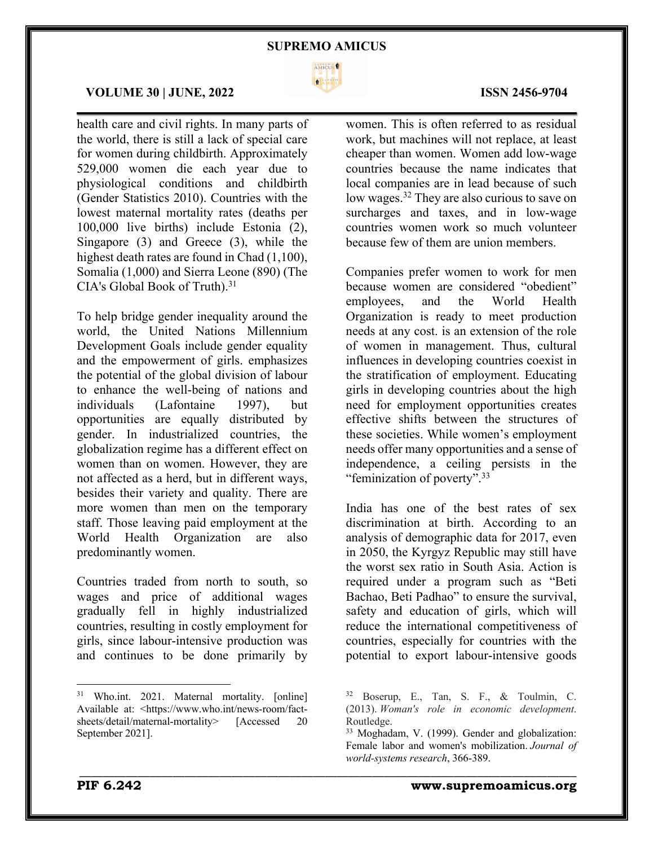

### **VOLUME 30 | JUNE, 2022 ISSN 2456-9704**

health care and civil rights. In many parts of the world, there is still a lack of special care for women during childbirth. Approximately 529,000 women die each year due to physiological conditions and childbirth (Gender Statistics 2010). Countries with the lowest maternal mortality rates (deaths per 100,000 live births) include Estonia (2), Singapore (3) and Greece (3), while the highest death rates are found in Chad  $(1,100)$ , Somalia (1,000) and Sierra Leone (890) (The CIA's Global Book of Truth).<sup>31</sup>

To help bridge gender inequality around the world, the United Nations Millennium Development Goals include gender equality and the empowerment of girls. emphasizes the potential of the global division of labour to enhance the well-being of nations and individuals (Lafontaine 1997), but opportunities are equally distributed by gender. In industrialized countries, the globalization regime has a different effect on women than on women. However, they are not affected as a herd, but in different ways, besides their variety and quality. There are more women than men on the temporary staff. Those leaving paid employment at the World Health Organization are also predominantly women.

Countries traded from north to south, so wages and price of additional wages gradually fell in highly industrialized countries, resulting in costly employment for girls, since labour-intensive production was and continues to be done primarily by

women. This is often referred to as residual work, but machines will not replace, at least cheaper than women. Women add low-wage countries because the name indicates that local companies are in lead because of such low wages.32 They are also curious to save on surcharges and taxes, and in low-wage countries women work so much volunteer because few of them are union members.

Companies prefer women to work for men because women are considered "obedient" employees, and the World Health Organization is ready to meet production needs at any cost. is an extension of the role of women in management. Thus, cultural influences in developing countries coexist in the stratification of employment. Educating girls in developing countries about the high need for employment opportunities creates effective shifts between the structures of these societies. While women's employment needs offer many opportunities and a sense of independence, a ceiling persists in the "feminization of poverty".33

India has one of the best rates of sex discrimination at birth. According to an analysis of demographic data for 2017, even in 2050, the Kyrgyz Republic may still have the worst sex ratio in South Asia. Action is required under a program such as "Beti Bachao, Beti Padhao" to ensure the survival, safety and education of girls, which will reduce the international competitiveness of countries, especially for countries with the potential to export labour-intensive goods

\_\_\_\_\_\_\_\_\_\_\_\_\_\_\_\_\_\_\_\_\_\_\_\_\_\_\_\_\_\_\_\_\_\_\_\_\_\_\_\_\_\_\_\_\_\_\_\_\_\_\_\_\_\_\_\_\_\_\_\_\_\_\_\_\_\_\_\_\_\_\_\_\_\_\_\_\_\_\_\_\_\_\_\_\_

# **PIF 6.242 www.supremoamicus.org**

<sup>&</sup>lt;sup>31</sup> Who.int. 2021. Maternal mortality. [online] Available at: <https://www.who.int/news-room/factsheets/detail/maternal-mortality> [Accessed 20 September 2021].

<sup>32</sup> Boserup, E., Tan, S. F., & Toulmin, C. (2013). *Woman's role in economic development*. Routledge.

<sup>33</sup> Moghadam, V. (1999). Gender and globalization: Female labor and women's mobilization. *Journal of world-systems research*, 366-389.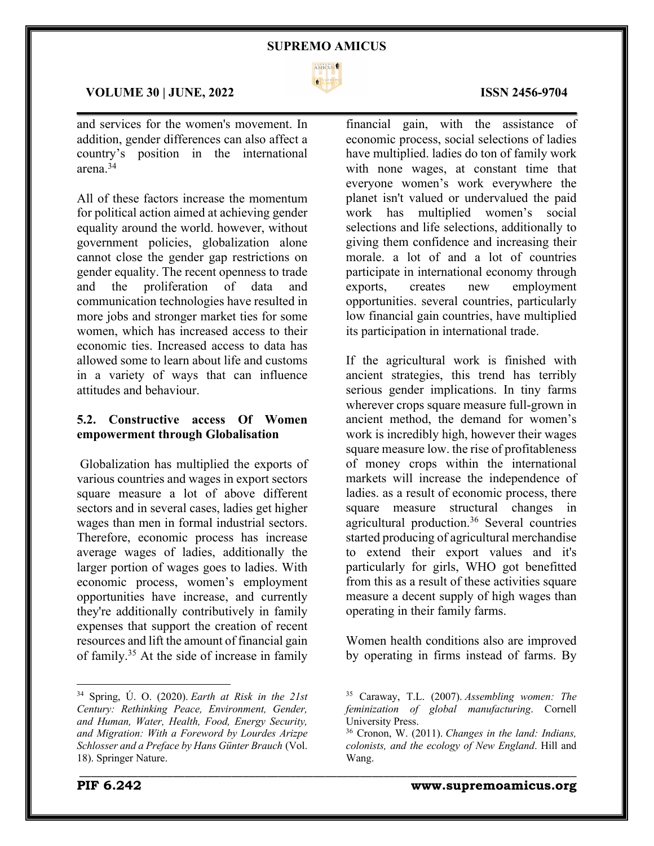

# **VOLUME 30 | JUNE, 2022 ISSN 2456-9704**

and services for the women's movement. In addition, gender differences can also affect a country's position in the international arena.34

All of these factors increase the momentum for political action aimed at achieving gender equality around the world. however, without government policies, globalization alone cannot close the gender gap restrictions on gender equality. The recent openness to trade and the proliferation of data and communication technologies have resulted in more jobs and stronger market ties for some women, which has increased access to their economic ties. Increased access to data has allowed some to learn about life and customs in a variety of ways that can influence attitudes and behaviour.

# **5.2. Constructive access Of Women empowerment through Globalisation**

Globalization has multiplied the exports of various countries and wages in export sectors square measure a lot of above different sectors and in several cases, ladies get higher wages than men in formal industrial sectors. Therefore, economic process has increase average wages of ladies, additionally the larger portion of wages goes to ladies. With economic process, women's employment opportunities have increase, and currently they're additionally contributively in family expenses that support the creation of recent resources and lift the amount of financial gain of family.35 At the side of increase in family

financial gain, with the assistance of economic process, social selections of ladies have multiplied. ladies do ton of family work with none wages, at constant time that everyone women's work everywhere the planet isn't valued or undervalued the paid work has multiplied women's social selections and life selections, additionally to giving them confidence and increasing their morale. a lot of and a lot of countries participate in international economy through exports, creates new employment opportunities. several countries, particularly low financial gain countries, have multiplied its participation in international trade.

If the agricultural work is finished with ancient strategies, this trend has terribly serious gender implications. In tiny farms wherever crops square measure full-grown in ancient method, the demand for women's work is incredibly high, however their wages square measure low. the rise of profitableness of money crops within the international markets will increase the independence of ladies. as a result of economic process, there square measure structural changes in agricultural production.36 Several countries started producing of agricultural merchandise to extend their export values and it's particularly for girls, WHO got benefitted from this as a result of these activities square measure a decent supply of high wages than operating in their family farms.

Women health conditions also are improved by operating in firms instead of farms. By

\_\_\_\_\_\_\_\_\_\_\_\_\_\_\_\_\_\_\_\_\_\_\_\_\_\_\_\_\_\_\_\_\_\_\_\_\_\_\_\_\_\_\_\_\_\_\_\_\_\_\_\_\_\_\_\_\_\_\_\_\_\_\_\_\_\_\_\_\_\_\_\_\_\_\_\_\_\_\_\_\_\_\_\_\_

# $\mathcal{L}_\mathcal{L} = \mathcal{L}_\mathcal{L} = \mathcal{L}_\mathcal{L} = \mathcal{L}_\mathcal{L} = \mathcal{L}_\mathcal{L} = \mathcal{L}_\mathcal{L} = \mathcal{L}_\mathcal{L} = \mathcal{L}_\mathcal{L} = \mathcal{L}_\mathcal{L} = \mathcal{L}_\mathcal{L} = \mathcal{L}_\mathcal{L} = \mathcal{L}_\mathcal{L} = \mathcal{L}_\mathcal{L} = \mathcal{L}_\mathcal{L} = \mathcal{L}_\mathcal{L} = \mathcal{L}_\mathcal{L} = \mathcal{L}_\mathcal{L}$

<sup>34</sup> Spring, Ú. O. (2020). *Earth at Risk in the 21st Century: Rethinking Peace, Environment, Gender, and Human, Water, Health, Food, Energy Security, and Migration: With a Foreword by Lourdes Arizpe Schlosser and a Preface by Hans Günter Brauch* (Vol. 18). Springer Nature.

<sup>35</sup> Caraway, T.L. (2007). *Assembling women: The feminization of global manufacturing*. Cornell University Press.

<sup>36</sup> Cronon, W. (2011). *Changes in the land: Indians, colonists, and the ecology of New England*. Hill and Wang.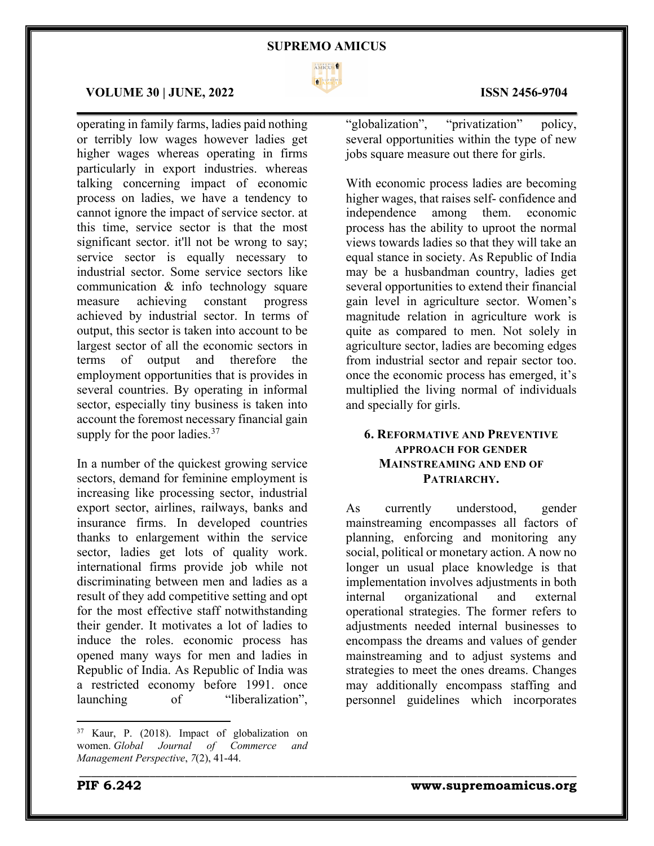

 $\mathcal{L}_\mathcal{L} = \mathcal{L}_\mathcal{L} = \mathcal{L}_\mathcal{L} = \mathcal{L}_\mathcal{L} = \mathcal{L}_\mathcal{L} = \mathcal{L}_\mathcal{L} = \mathcal{L}_\mathcal{L} = \mathcal{L}_\mathcal{L} = \mathcal{L}_\mathcal{L} = \mathcal{L}_\mathcal{L} = \mathcal{L}_\mathcal{L} = \mathcal{L}_\mathcal{L} = \mathcal{L}_\mathcal{L} = \mathcal{L}_\mathcal{L} = \mathcal{L}_\mathcal{L} = \mathcal{L}_\mathcal{L} = \mathcal{L}_\mathcal{L}$ 

\_\_\_\_\_\_\_\_\_\_\_\_\_\_\_\_\_\_\_\_\_\_\_\_\_\_\_\_\_\_\_\_\_\_\_\_\_\_\_\_\_\_\_\_\_\_\_\_\_\_\_\_\_\_\_\_\_\_\_\_\_\_\_\_\_\_\_\_\_\_\_\_\_\_\_\_\_\_\_\_\_\_\_\_\_

#### **VOLUME 30 | JUNE, 2022 ISSN 2456-9704**

operating in family farms, ladies paid nothing or terribly low wages however ladies get higher wages whereas operating in firms particularly in export industries. whereas talking concerning impact of economic process on ladies, we have a tendency to cannot ignore the impact of service sector. at this time, service sector is that the most significant sector. it'll not be wrong to say; service sector is equally necessary to industrial sector. Some service sectors like communication & info technology square measure achieving constant progress achieved by industrial sector. In terms of output, this sector is taken into account to be largest sector of all the economic sectors in terms of output and therefore the employment opportunities that is provides in several countries. By operating in informal sector, especially tiny business is taken into account the foremost necessary financial gain supply for the poor ladies.<sup>37</sup>

In a number of the quickest growing service sectors, demand for feminine employment is increasing like processing sector, industrial export sector, airlines, railways, banks and insurance firms. In developed countries thanks to enlargement within the service sector, ladies get lots of quality work. international firms provide job while not discriminating between men and ladies as a result of they add competitive setting and opt for the most effective staff notwithstanding their gender. It motivates a lot of ladies to induce the roles. economic process has opened many ways for men and ladies in Republic of India. As Republic of India was a restricted economy before 1991. once launching of "liberalization",

"globalization", "privatization" policy, several opportunities within the type of new jobs square measure out there for girls.

With economic process ladies are becoming higher wages, that raises self- confidence and independence among them. economic process has the ability to uproot the normal views towards ladies so that they will take an equal stance in society. As Republic of India may be a husbandman country, ladies get several opportunities to extend their financial gain level in agriculture sector. Women's magnitude relation in agriculture work is quite as compared to men. Not solely in agriculture sector, ladies are becoming edges from industrial sector and repair sector too. once the economic process has emerged, it's multiplied the living normal of individuals and specially for girls.

# **6. REFORMATIVE AND PREVENTIVE APPROACH FOR GENDER MAINSTREAMING AND END OF PATRIARCHY.**

As currently understood, gender mainstreaming encompasses all factors of planning, enforcing and monitoring any social, political or monetary action. A now no longer un usual place knowledge is that implementation involves adjustments in both internal organizational and external operational strategies. The former refers to adjustments needed internal businesses to encompass the dreams and values of gender mainstreaming and to adjust systems and strategies to meet the ones dreams. Changes may additionally encompass staffing and personnel guidelines which incorporates

<sup>37</sup> Kaur, P. (2018). Impact of globalization on women. *Global Journal of Commerce and Management Perspective*, *7*(2), 41-44.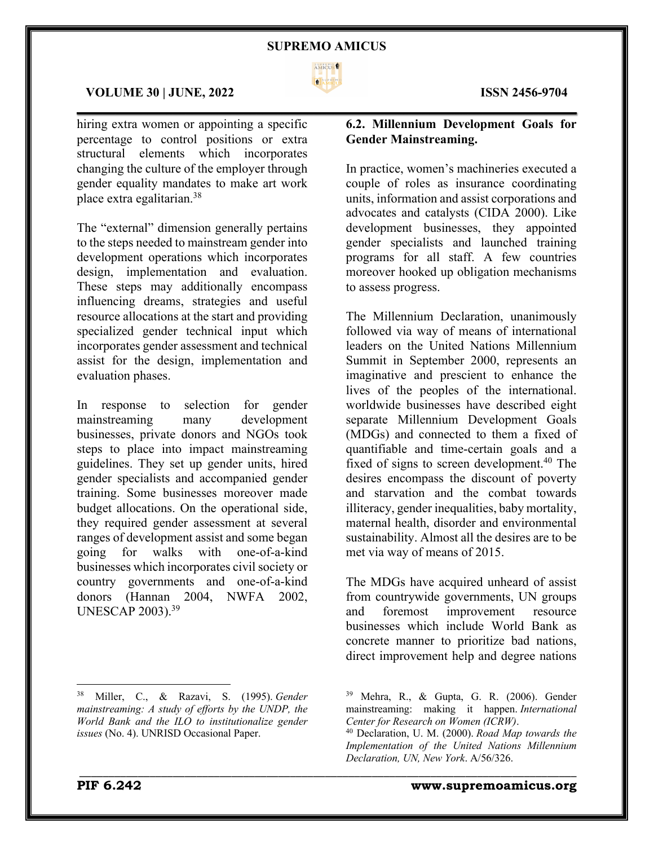

 $\mathcal{L}_\mathcal{L} = \mathcal{L}_\mathcal{L} = \mathcal{L}_\mathcal{L} = \mathcal{L}_\mathcal{L} = \mathcal{L}_\mathcal{L} = \mathcal{L}_\mathcal{L} = \mathcal{L}_\mathcal{L} = \mathcal{L}_\mathcal{L} = \mathcal{L}_\mathcal{L} = \mathcal{L}_\mathcal{L} = \mathcal{L}_\mathcal{L} = \mathcal{L}_\mathcal{L} = \mathcal{L}_\mathcal{L} = \mathcal{L}_\mathcal{L} = \mathcal{L}_\mathcal{L} = \mathcal{L}_\mathcal{L} = \mathcal{L}_\mathcal{L}$ 

\_\_\_\_\_\_\_\_\_\_\_\_\_\_\_\_\_\_\_\_\_\_\_\_\_\_\_\_\_\_\_\_\_\_\_\_\_\_\_\_\_\_\_\_\_\_\_\_\_\_\_\_\_\_\_\_\_\_\_\_\_\_\_\_\_\_\_\_\_\_\_\_\_\_\_\_\_\_\_\_\_\_\_\_\_

#### **VOLUME 30 | JUNE, 2022 ISSN 2456-9704**

hiring extra women or appointing a specific percentage to control positions or extra structural elements which incorporates changing the culture of the employer through gender equality mandates to make art work place extra egalitarian.38

The "external" dimension generally pertains to the steps needed to mainstream gender into development operations which incorporates design, implementation and evaluation. These steps may additionally encompass influencing dreams, strategies and useful resource allocations at the start and providing specialized gender technical input which incorporates gender assessment and technical assist for the design, implementation and evaluation phases.

In response to selection for gender mainstreaming many development businesses, private donors and NGOs took steps to place into impact mainstreaming guidelines. They set up gender units, hired gender specialists and accompanied gender training. Some businesses moreover made budget allocations. On the operational side, they required gender assessment at several ranges of development assist and some began going for walks with one-of-a-kind businesses which incorporates civil society or country governments and one-of-a-kind donors (Hannan 2004, NWFA 2002, UNESCAP 2003).39

# **6.2. Millennium Development Goals for Gender Mainstreaming.**

In practice, women's machineries executed a couple of roles as insurance coordinating units, information and assist corporations and advocates and catalysts (CIDA 2000). Like development businesses, they appointed gender specialists and launched training programs for all staff. A few countries moreover hooked up obligation mechanisms to assess progress.

The Millennium Declaration, unanimously followed via way of means of international leaders on the United Nations Millennium Summit in September 2000, represents an imaginative and prescient to enhance the lives of the peoples of the international. worldwide businesses have described eight separate Millennium Development Goals (MDGs) and connected to them a fixed of quantifiable and time-certain goals and a fixed of signs to screen development.<sup>40</sup> The desires encompass the discount of poverty and starvation and the combat towards illiteracy, gender inequalities, baby mortality, maternal health, disorder and environmental sustainability. Almost all the desires are to be met via way of means of 2015.

The MDGs have acquired unheard of assist from countrywide governments, UN groups and foremost improvement resource businesses which include World Bank as concrete manner to prioritize bad nations, direct improvement help and degree nations

<sup>38</sup> Miller, C., & Razavi, S. (1995). *Gender mainstreaming: A study of efforts by the UNDP, the World Bank and the ILO to institutionalize gender issues* (No. 4). UNRISD Occasional Paper.

 $39$  Mehra, R., & Gupta, G. R. (2006). Gender mainstreaming: making it happen. *International Center for Research on Women (ICRW)*.

<sup>40</sup> Declaration, U. M. (2000). *Road Map towards the Implementation of the United Nations Millennium Declaration, UN, New York*. A/56/326.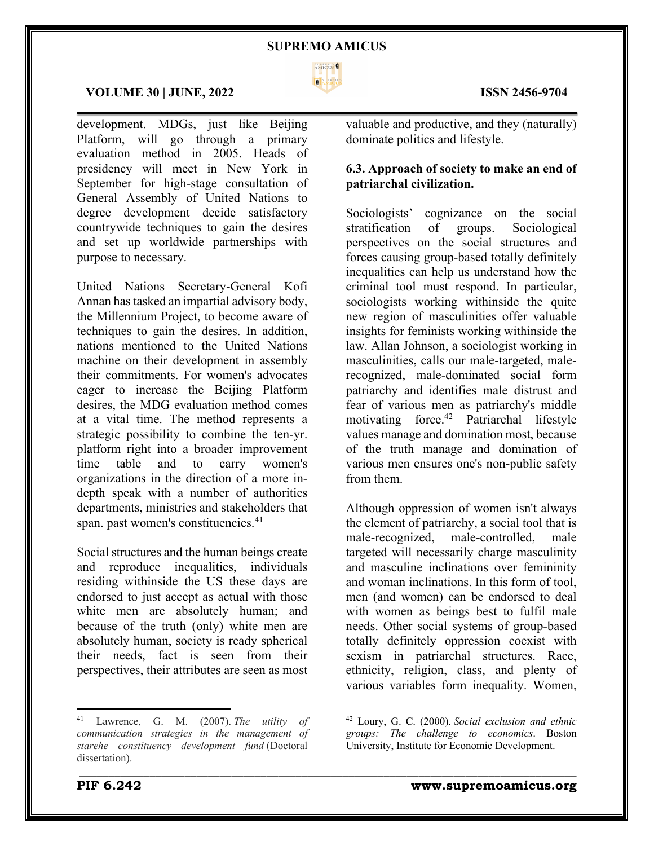

 $\mathcal{L}_\mathcal{L} = \mathcal{L}_\mathcal{L} = \mathcal{L}_\mathcal{L} = \mathcal{L}_\mathcal{L} = \mathcal{L}_\mathcal{L} = \mathcal{L}_\mathcal{L} = \mathcal{L}_\mathcal{L} = \mathcal{L}_\mathcal{L} = \mathcal{L}_\mathcal{L} = \mathcal{L}_\mathcal{L} = \mathcal{L}_\mathcal{L} = \mathcal{L}_\mathcal{L} = \mathcal{L}_\mathcal{L} = \mathcal{L}_\mathcal{L} = \mathcal{L}_\mathcal{L} = \mathcal{L}_\mathcal{L} = \mathcal{L}_\mathcal{L}$ 

\_\_\_\_\_\_\_\_\_\_\_\_\_\_\_\_\_\_\_\_\_\_\_\_\_\_\_\_\_\_\_\_\_\_\_\_\_\_\_\_\_\_\_\_\_\_\_\_\_\_\_\_\_\_\_\_\_\_\_\_\_\_\_\_\_\_\_\_\_\_\_\_\_\_\_\_\_\_\_\_\_\_\_\_\_

#### **VOLUME 30 | JUNE, 2022 ISSN 2456-9704**

development. MDGs, just like Beijing Platform, will go through a primary evaluation method in 2005. Heads of presidency will meet in New York in September for high-stage consultation of General Assembly of United Nations to degree development decide satisfactory countrywide techniques to gain the desires and set up worldwide partnerships with purpose to necessary.

United Nations Secretary-General Kofi Annan has tasked an impartial advisory body, the Millennium Project, to become aware of techniques to gain the desires. In addition, nations mentioned to the United Nations machine on their development in assembly their commitments. For women's advocates eager to increase the Beijing Platform desires, the MDG evaluation method comes at a vital time. The method represents a strategic possibility to combine the ten-yr. platform right into a broader improvement time table and to carry women's organizations in the direction of a more indepth speak with a number of authorities departments, ministries and stakeholders that span. past women's constituencies.<sup>41</sup>

Social structures and the human beings create and reproduce inequalities, individuals residing withinside the US these days are endorsed to just accept as actual with those white men are absolutely human; and because of the truth (only) white men are absolutely human, society is ready spherical their needs, fact is seen from their perspectives, their attributes are seen as most

valuable and productive, and they (naturally) dominate politics and lifestyle.

# **6.3. Approach of society to make an end of patriarchal civilization.**

Sociologists' cognizance on the social stratification of groups. Sociological perspectives on the social structures and forces causing group-based totally definitely inequalities can help us understand how the criminal tool must respond. In particular, sociologists working withinside the quite new region of masculinities offer valuable insights for feminists working withinside the law. Allan Johnson, a sociologist working in masculinities, calls our male-targeted, malerecognized, male-dominated social form patriarchy and identifies male distrust and fear of various men as patriarchy's middle motivating force.42 Patriarchal lifestyle values manage and domination most, because of the truth manage and domination of various men ensures one's non-public safety from them.

Although oppression of women isn't always the element of patriarchy, a social tool that is male-recognized, male-controlled, male targeted will necessarily charge masculinity and masculine inclinations over femininity and woman inclinations. In this form of tool, men (and women) can be endorsed to deal with women as beings best to fulfil male needs. Other social systems of group-based totally definitely oppression coexist with sexism in patriarchal structures. Race, ethnicity, religion, class, and plenty of various variables form inequality. Women,



<sup>41</sup> Lawrence, G. M. (2007). *The utility of communication strategies in the management of starehe constituency development fund* (Doctoral dissertation).

<sup>42</sup> Loury, G. C. (2000). *Social exclusion and ethnic groups: The challenge to economics*. Boston University, Institute for Economic Development.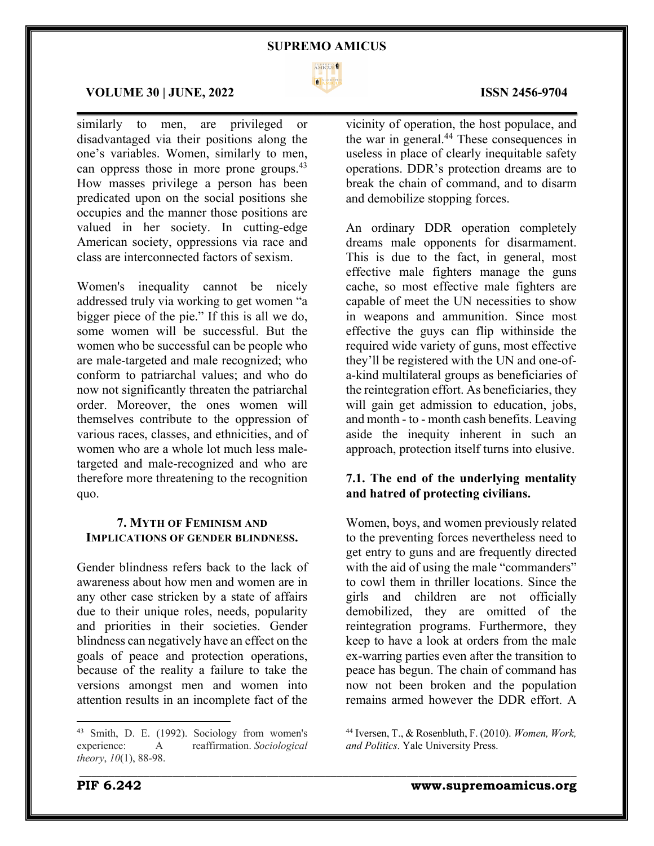

\_\_\_\_\_\_\_\_\_\_\_\_\_\_\_\_\_\_\_\_\_\_\_\_\_\_\_\_\_\_\_\_\_\_\_\_\_\_\_\_\_\_\_\_\_\_\_\_\_\_\_\_\_\_\_\_\_\_\_\_\_\_\_\_\_\_\_\_\_\_\_\_\_\_\_\_\_\_\_\_\_\_\_\_\_

#### **VOLUME 30 | JUNE, 2022 ISSN 2456-9704**

similarly to men, are privileged or disadvantaged via their positions along the one's variables. Women, similarly to men, can oppress those in more prone groups.<sup>43</sup> How masses privilege a person has been predicated upon on the social positions she occupies and the manner those positions are valued in her society. In cutting-edge American society, oppressions via race and class are interconnected factors of sexism.

Women's inequality cannot be nicely addressed truly via working to get women "a bigger piece of the pie." If this is all we do, some women will be successful. But the women who be successful can be people who are male-targeted and male recognized; who conform to patriarchal values; and who do now not significantly threaten the patriarchal order. Moreover, the ones women will themselves contribute to the oppression of various races, classes, and ethnicities, and of women who are a whole lot much less maletargeted and male-recognized and who are therefore more threatening to the recognition quo.

# **7. MYTH OF FEMINISM AND IMPLICATIONS OF GENDER BLINDNESS.**

Gender blindness refers back to the lack of awareness about how men and women are in any other case stricken by a state of affairs due to their unique roles, needs, popularity and priorities in their societies. Gender blindness can negatively have an effect on the goals of peace and protection operations, because of the reality a failure to take the versions amongst men and women into attention results in an incomplete fact of the

vicinity of operation, the host populace, and the war in general.<sup>44</sup> These consequences in useless in place of clearly inequitable safety operations. DDR's protection dreams are to break the chain of command, and to disarm and demobilize stopping forces.

An ordinary DDR operation completely dreams male opponents for disarmament. This is due to the fact, in general, most effective male fighters manage the guns cache, so most effective male fighters are capable of meet the UN necessities to show in weapons and ammunition. Since most effective the guys can flip withinside the required wide variety of guns, most effective they'll be registered with the UN and one-ofa-kind multilateral groups as beneficiaries of the reintegration effort. As beneficiaries, they will gain get admission to education, jobs, and month - to - month cash benefits. Leaving aside the inequity inherent in such an approach, protection itself turns into elusive.

# **7.1. The end of the underlying mentality and hatred of protecting civilians.**

Women, boys, and women previously related to the preventing forces nevertheless need to get entry to guns and are frequently directed with the aid of using the male "commanders" to cowl them in thriller locations. Since the girls and children are not officially demobilized, they are omitted of the reintegration programs. Furthermore, they keep to have a look at orders from the male ex-warring parties even after the transition to peace has begun. The chain of command has now not been broken and the population remains armed however the DDR effort. A

<sup>43</sup> Smith, D. E. (1992). Sociology from women's experience: A reaffirmation. *Sociological theory*, *10*(1), 88-98.

<sup>44</sup> Iversen, T., & Rosenbluth, F. (2010). *Women, Work, and Politics*. Yale University Press.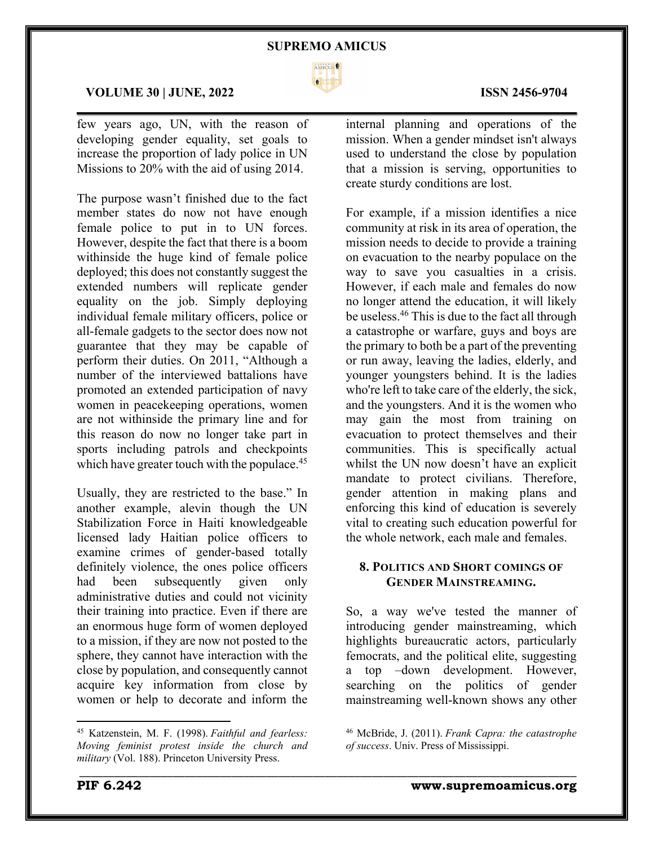

 $\mathcal{L}_\mathcal{L} = \mathcal{L}_\mathcal{L} = \mathcal{L}_\mathcal{L} = \mathcal{L}_\mathcal{L} = \mathcal{L}_\mathcal{L} = \mathcal{L}_\mathcal{L} = \mathcal{L}_\mathcal{L} = \mathcal{L}_\mathcal{L} = \mathcal{L}_\mathcal{L} = \mathcal{L}_\mathcal{L} = \mathcal{L}_\mathcal{L} = \mathcal{L}_\mathcal{L} = \mathcal{L}_\mathcal{L} = \mathcal{L}_\mathcal{L} = \mathcal{L}_\mathcal{L} = \mathcal{L}_\mathcal{L} = \mathcal{L}_\mathcal{L}$ 

\_\_\_\_\_\_\_\_\_\_\_\_\_\_\_\_\_\_\_\_\_\_\_\_\_\_\_\_\_\_\_\_\_\_\_\_\_\_\_\_\_\_\_\_\_\_\_\_\_\_\_\_\_\_\_\_\_\_\_\_\_\_\_\_\_\_\_\_\_\_\_\_\_\_\_\_\_\_\_\_\_\_\_\_\_

### **VOLUME 30 | JUNE, 2022 ISSN 2456-9704**

few years ago, UN, with the reason of developing gender equality, set goals to increase the proportion of lady police in UN Missions to 20% with the aid of using 2014.

The purpose wasn't finished due to the fact member states do now not have enough female police to put in to UN forces. However, despite the fact that there is a boom withinside the huge kind of female police deployed; this does not constantly suggest the extended numbers will replicate gender equality on the job. Simply deploying individual female military officers, police or all-female gadgets to the sector does now not guarantee that they may be capable of perform their duties. On 2011, "Although a number of the interviewed battalions have promoted an extended participation of navy women in peacekeeping operations, women are not withinside the primary line and for this reason do now no longer take part in sports including patrols and checkpoints which have greater touch with the populace.<sup>45</sup>

Usually, they are restricted to the base." In another example, alevin though the UN Stabilization Force in Haiti knowledgeable licensed lady Haitian police officers to examine crimes of gender-based totally definitely violence, the ones police officers had been subsequently given only administrative duties and could not vicinity their training into practice. Even if there are an enormous huge form of women deployed to a mission, if they are now not posted to the sphere, they cannot have interaction with the close by population, and consequently cannot acquire key information from close by women or help to decorate and inform the internal planning and operations of the mission. When a gender mindset isn't always used to understand the close by population that a mission is serving, opportunities to create sturdy conditions are lost.

For example, if a mission identifies a nice community at risk in its area of operation, the mission needs to decide to provide a training on evacuation to the nearby populace on the way to save you casualties in a crisis. However, if each male and females do now no longer attend the education, it will likely be useless.<sup>46</sup> This is due to the fact all through a catastrophe or warfare, guys and boys are the primary to both be a part of the preventing or run away, leaving the ladies, elderly, and younger youngsters behind. It is the ladies who're left to take care of the elderly, the sick, and the youngsters. And it is the women who may gain the most from training on evacuation to protect themselves and their communities. This is specifically actual whilst the UN now doesn't have an explicit mandate to protect civilians. Therefore, gender attention in making plans and enforcing this kind of education is severely vital to creating such education powerful for the whole network, each male and females.

# **8. POLITICS AND SHORT COMINGS OF GENDER MAINSTREAMING.**

So, a way we've tested the manner of introducing gender mainstreaming, which highlights bureaucratic actors, particularly femocrats, and the political elite, suggesting a top –down development. However, searching on the politics of gender mainstreaming well-known shows any other

<sup>45</sup> Katzenstein, M. F. (1998). *Faithful and fearless: Moving feminist protest inside the church and military* (Vol. 188). Princeton University Press.

<sup>46</sup> McBride, J. (2011). *Frank Capra: the catastrophe of success*. Univ. Press of Mississippi.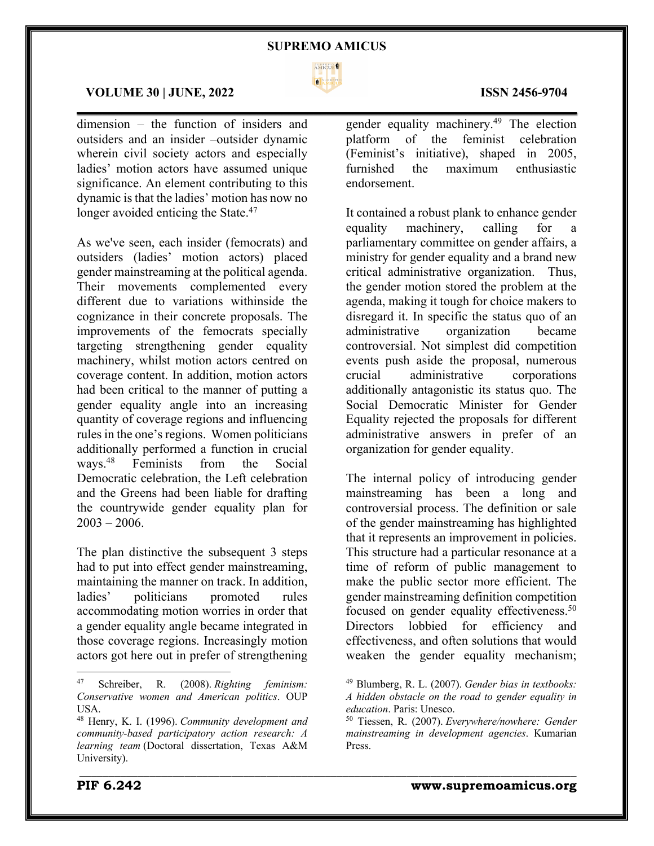

endorsement.

\_\_\_\_\_\_\_\_\_\_\_\_\_\_\_\_\_\_\_\_\_\_\_\_\_\_\_\_\_\_\_\_\_\_\_\_\_\_\_\_\_\_\_\_\_\_\_\_\_\_\_\_\_\_\_\_\_\_\_\_\_\_\_\_\_\_\_\_\_\_\_\_\_\_\_\_\_\_\_\_\_\_\_\_\_

#### **VOLUME 30 | JUNE, 2022 ISSN 2456-9704**

dimension – the function of insiders and outsiders and an insider –outsider dynamic wherein civil society actors and especially ladies' motion actors have assumed unique significance. An element contributing to this dynamic is that the ladies' motion has now no longer avoided enticing the State.<sup>47</sup>

As we've seen, each insider (femocrats) and outsiders (ladies' motion actors) placed gender mainstreaming at the political agenda. Their movements complemented every different due to variations withinside the cognizance in their concrete proposals. The improvements of the femocrats specially targeting strengthening gender equality machinery, whilst motion actors centred on coverage content. In addition, motion actors had been critical to the manner of putting a gender equality angle into an increasing quantity of coverage regions and influencing rules in the one's regions. Women politicians additionally performed a function in crucial ways.48 Feminists from the Social Democratic celebration, the Left celebration and the Greens had been liable for drafting the countrywide gender equality plan for  $2003 - 2006$ .

The plan distinctive the subsequent 3 steps had to put into effect gender mainstreaming, maintaining the manner on track. In addition, ladies' politicians promoted rules accommodating motion worries in order that a gender equality angle became integrated in those coverage regions. Increasingly motion actors got here out in prefer of strengthening

gender equality machinery.49 The election platform of the feminist celebration (Feminist's initiative), shaped in 2005, furnished the maximum enthusiastic

It contained a robust plank to enhance gender equality machinery, calling for a parliamentary committee on gender affairs, a ministry for gender equality and a brand new critical administrative organization. Thus, the gender motion stored the problem at the agenda, making it tough for choice makers to disregard it. In specific the status quo of an administrative organization became administrative organization became controversial. Not simplest did competition events push aside the proposal, numerous crucial administrative corporations additionally antagonistic its status quo. The Social Democratic Minister for Gender Equality rejected the proposals for different administrative answers in prefer of an organization for gender equality.

The internal policy of introducing gender mainstreaming has been a long and controversial process. The definition or sale of the gender mainstreaming has highlighted that it represents an improvement in policies. This structure had a particular resonance at a time of reform of public management to make the public sector more efficient. The gender mainstreaming definition competition focused on gender equality effectiveness.<sup>50</sup> Directors lobbied for efficiency and effectiveness, and often solutions that would weaken the gender equality mechanism;

# $\mathcal{L}_\mathcal{L} = \mathcal{L}_\mathcal{L} = \mathcal{L}_\mathcal{L} = \mathcal{L}_\mathcal{L} = \mathcal{L}_\mathcal{L} = \mathcal{L}_\mathcal{L} = \mathcal{L}_\mathcal{L} = \mathcal{L}_\mathcal{L} = \mathcal{L}_\mathcal{L} = \mathcal{L}_\mathcal{L} = \mathcal{L}_\mathcal{L} = \mathcal{L}_\mathcal{L} = \mathcal{L}_\mathcal{L} = \mathcal{L}_\mathcal{L} = \mathcal{L}_\mathcal{L} = \mathcal{L}_\mathcal{L} = \mathcal{L}_\mathcal{L}$

<sup>47</sup> Schreiber, R. (2008). *Righting feminism: Conservative women and American politics*. OUP USA.

<sup>48</sup> Henry, K. I. (1996). *Community development and community-based participatory action research: A learning team* (Doctoral dissertation, Texas A&M University).

<sup>49</sup> Blumberg, R. L. (2007). *Gender bias in textbooks: A hidden obstacle on the road to gender equality in education*. Paris: Unesco.

<sup>50</sup> Tiessen, R. (2007). *Everywhere/nowhere: Gender mainstreaming in development agencies*. Kumarian Press.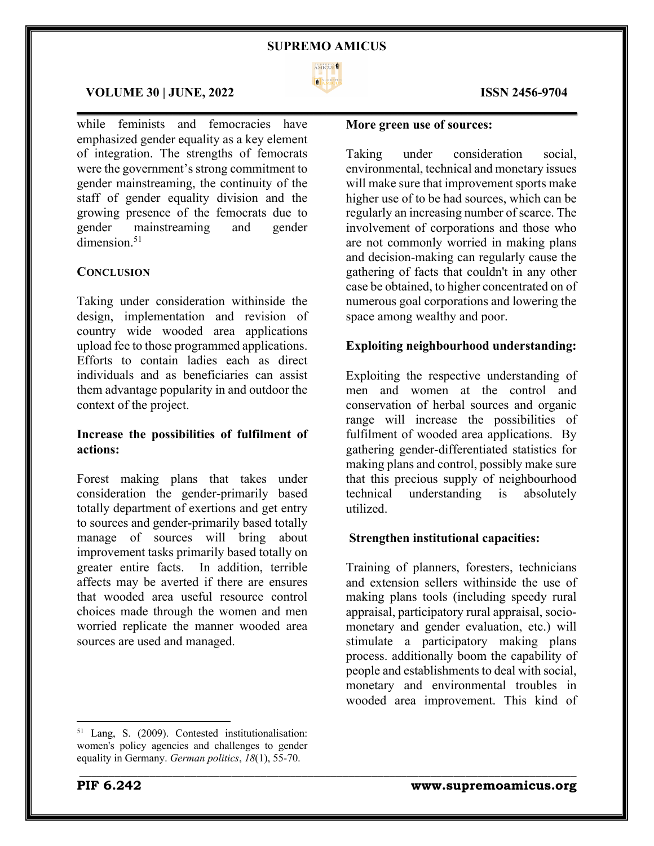

 $\mathcal{L}_\mathcal{L} = \mathcal{L}_\mathcal{L} = \mathcal{L}_\mathcal{L} = \mathcal{L}_\mathcal{L} = \mathcal{L}_\mathcal{L} = \mathcal{L}_\mathcal{L} = \mathcal{L}_\mathcal{L} = \mathcal{L}_\mathcal{L} = \mathcal{L}_\mathcal{L} = \mathcal{L}_\mathcal{L} = \mathcal{L}_\mathcal{L} = \mathcal{L}_\mathcal{L} = \mathcal{L}_\mathcal{L} = \mathcal{L}_\mathcal{L} = \mathcal{L}_\mathcal{L} = \mathcal{L}_\mathcal{L} = \mathcal{L}_\mathcal{L}$ 

\_\_\_\_\_\_\_\_\_\_\_\_\_\_\_\_\_\_\_\_\_\_\_\_\_\_\_\_\_\_\_\_\_\_\_\_\_\_\_\_\_\_\_\_\_\_\_\_\_\_\_\_\_\_\_\_\_\_\_\_\_\_\_\_\_\_\_\_\_\_\_\_\_\_\_\_\_\_\_\_\_\_\_\_\_

### **VOLUME 30 | JUNE, 2022 ISSN 2456-9704**

while feminists and femocracies have emphasized gender equality as a key element of integration. The strengths of femocrats were the government's strong commitment to gender mainstreaming, the continuity of the staff of gender equality division and the growing presence of the femocrats due to gender mainstreaming and gender dimension.<sup>51</sup>

# **CONCLUSION**

Taking under consideration withinside the design, implementation and revision of country wide wooded area applications upload fee to those programmed applications. Efforts to contain ladies each as direct individuals and as beneficiaries can assist them advantage popularity in and outdoor the context of the project.

# **Increase the possibilities of fulfilment of actions:**

Forest making plans that takes under consideration the gender-primarily based totally department of exertions and get entry to sources and gender-primarily based totally manage of sources will bring about improvement tasks primarily based totally on greater entire facts. In addition, terrible affects may be averted if there are ensures that wooded area useful resource control choices made through the women and men worried replicate the manner wooded area sources are used and managed.

#### **More green use of sources:**

Taking under consideration social, environmental, technical and monetary issues will make sure that improvement sports make higher use of to be had sources, which can be regularly an increasing number of scarce. The involvement of corporations and those who are not commonly worried in making plans and decision-making can regularly cause the gathering of facts that couldn't in any other case be obtained, to higher concentrated on of numerous goal corporations and lowering the space among wealthy and poor.

### **Exploiting neighbourhood understanding:**

Exploiting the respective understanding of men and women at the control and conservation of herbal sources and organic range will increase the possibilities of fulfilment of wooded area applications. By gathering gender-differentiated statistics for making plans and control, possibly make sure that this precious supply of neighbourhood technical understanding is absolutely utilized.

#### **Strengthen institutional capacities:**

Training of planners, foresters, technicians and extension sellers withinside the use of making plans tools (including speedy rural appraisal, participatory rural appraisal, sociomonetary and gender evaluation, etc.) will stimulate a participatory making plans process. additionally boom the capability of people and establishments to deal with social, monetary and environmental troubles in wooded area improvement. This kind of

<sup>51</sup> Lang, S. (2009). Contested institutionalisation: women's policy agencies and challenges to gender equality in Germany. *German politics*, *18*(1), 55-70.